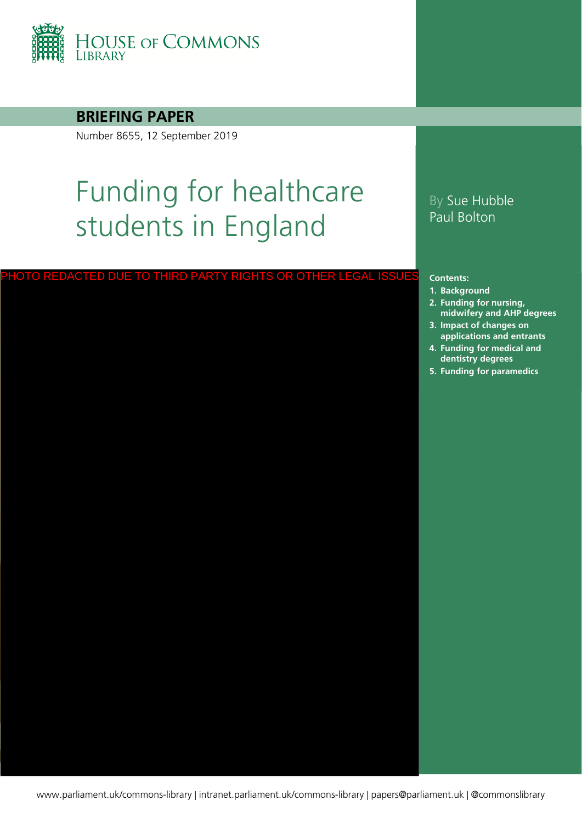

### **BRIEFING PAPER**

Number 8655, 12 September 2019

# Funding for healthcare students in England

#### PHOTO REDACTED DUE TO THIRD PARTY RIGHTS OR OTHER LEGAL ISSUE:

## By Sue Hubble Paul Bolton

#### **Contents:**

- **1. [Background](#page-3-0)**
- **2. [Funding for nursing,](#page-5-0)  midwifery and AHP degrees**
- **3. [Impact of changes on](#page-7-0)  applications and entrants**
- **4. [Funding for medical and](#page-11-0)  dentistry degrees**
- **5. [Funding for paramedics](#page-14-0)**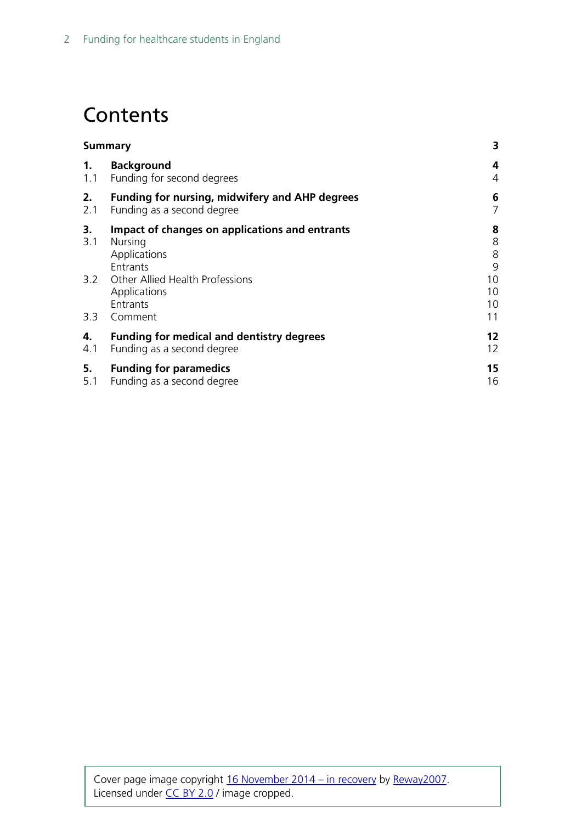# **Contents**

| <b>Summary</b> | 3                                                                                            |                       |  |
|----------------|----------------------------------------------------------------------------------------------|-----------------------|--|
| 1 <sub>1</sub> | <b>Background</b><br>1.1 Funding for second degrees                                          | 4<br>4                |  |
| 2.<br>2.1      | <b>Funding for nursing, midwifery and AHP degrees</b><br>Funding as a second degree          | 6<br>7                |  |
| 3.<br>3.1      | Impact of changes on applications and entrants<br><b>Nursing</b><br>Applications<br>Entrants | 8<br>8<br>8<br>9      |  |
| 3.3            | 3.2 Other Allied Health Professions<br>Applications<br>Entrants<br>Comment                   | 10<br>10<br>10<br>11  |  |
| 4.<br>4.1      | <b>Funding for medical and dentistry degrees</b><br>Funding as a second degree               | 12<br>12 <sup>2</sup> |  |
| 5.<br>5.1      | <b>Funding for paramedics</b><br>Funding as a second degree                                  | 15<br>16              |  |
|                |                                                                                              |                       |  |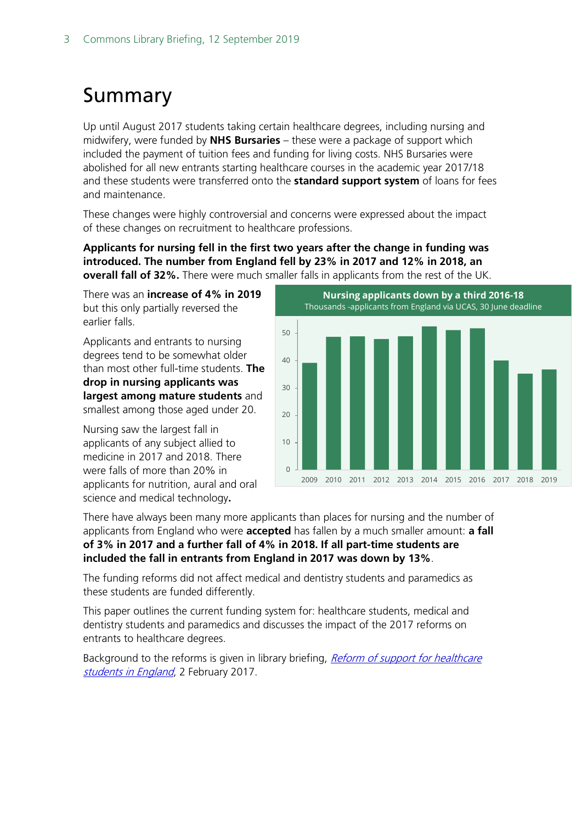# <span id="page-2-0"></span>Summary

Up until August 2017 students taking certain healthcare degrees, including nursing and midwifery, were funded by **NHS Bursaries** – these were a package of support which included the payment of tuition fees and funding for living costs. NHS Bursaries were abolished for all new entrants starting healthcare courses in the academic year 2017/18 and these students were transferred onto the **standard support system** of loans for fees and maintenance.

These changes were highly controversial and concerns were expressed about the impact of these changes on recruitment to healthcare professions.

**Applicants for nursing fell in the first two years after the change in funding was introduced. The number from England fell by 23% in 2017 and 12% in 2018, an overall fall of 32%.** There were much smaller falls in applicants from the rest of the UK.

There was an **increase of 4% in 2019** but this only partially reversed the earlier falls.

Applicants and entrants to nursing degrees tend to be somewhat older than most other full-time students. **The drop in nursing applicants was largest among mature students** and smallest among those aged under 20.

Nursing saw the largest fall in applicants of any subject allied to medicine in 2017 and 2018. There were falls of more than 20% in applicants for nutrition, aural and oral science and medical technology**.**



There have always been many more applicants than places for nursing and the number of applicants from England who were **accepted** has fallen by a much smaller amount: **a fall of 3% in 2017 and a further fall of 4% in 2018. If all part-time students are included the fall in entrants from England in 2017 was down by 13%**.

The funding reforms did not affect medical and dentistry students and paramedics as these students are funded differently.

This paper outlines the current funding system for: healthcare students, medical and dentistry students and paramedics and discusses the impact of the 2017 reforms on entrants to healthcare degrees.

Background to the reforms is given in library briefing, *Reform of support for healthcare* [students in England](https://researchbriefings.files.parliament.uk/documents/CBP-7436/CBP-7436.pdf), 2 February 2017.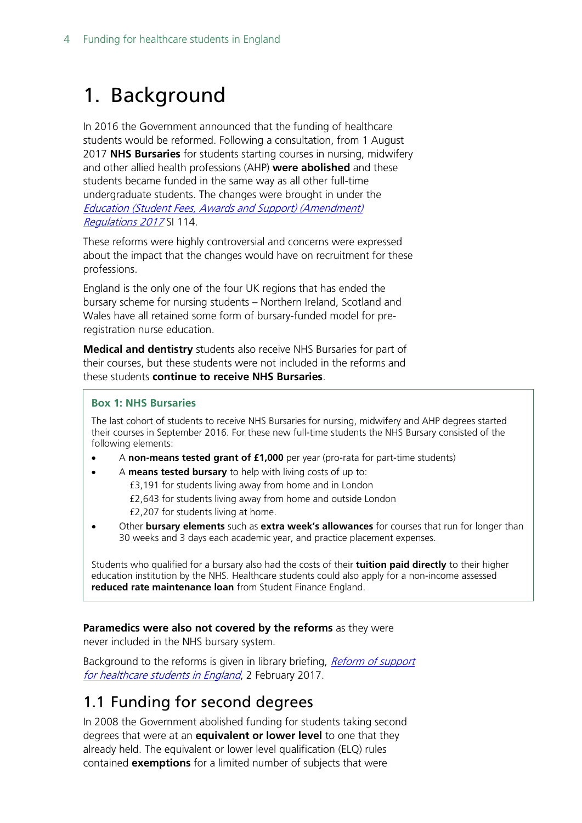# <span id="page-3-0"></span>1. Background

In 2016 the Government announced that the funding of healthcare students would be reformed. Following a consultation, from 1 August 2017 **NHS Bursaries** for students starting courses in nursing, midwifery and other allied health professions (AHP) **were abolished** and these students became funded in the same way as all other full-time undergraduate students. The changes were brought in under the [Education \(Student Fees, Awards and Support\) \(Amendment\)](https://www.legislation.gov.uk/uksi/2017/114/memorandum/contents)  [Regulations 2017](https://www.legislation.gov.uk/uksi/2017/114/memorandum/contents) SI 114.

These reforms were highly controversial and concerns were expressed about the impact that the changes would have on recruitment for these professions.

England is the only one of the four UK regions that has ended the bursary scheme for nursing students – Northern Ireland, Scotland and Wales have all retained some form of bursary-funded model for preregistration nurse education.

**Medical and dentistry** students also receive NHS Bursaries for part of their courses, but these students were not included in the reforms and these students **continue to receive NHS Bursaries**.

#### **Box 1: NHS Bursaries**

The last cohort of students to receive NHS Bursaries for nursing, midwifery and AHP degrees started their courses in September 2016. For these new full-time students the NHS Bursary consisted of the following elements:

- A **non-means tested grant of £1,000** per year (pro-rata for part-time students)
- A **means tested bursary** to help with living costs of up to: £3,191 for students living away from home and in London £2,643 for students living away from home and outside London £2,207 for students living at home.
- Other **bursary elements** such as **extra week's allowances** for courses that run for longer than 30 weeks and 3 days each academic year, and practice placement expenses.

Students who qualified for a bursary also had the costs of their **tuition paid directly** to their higher education institution by the NHS. Healthcare students could also apply for a non-income assessed **reduced rate maintenance loan** from Student Finance England.

**Paramedics were also not covered by the reforms** as they were

never included in the NHS bursary system.

Background to the reforms is given in library briefing, Reform of support [for healthcare students in England](https://researchbriefings.files.parliament.uk/documents/CBP-7436/CBP-7436.pdf), 2 February 2017.

## <span id="page-3-1"></span>1.1 Funding for second degrees

In 2008 the Government abolished funding for students taking second degrees that were at an **equivalent or lower level** to one that they already held. The equivalent or lower level qualification (ELQ) rules contained **exemptions** for a limited number of subjects that were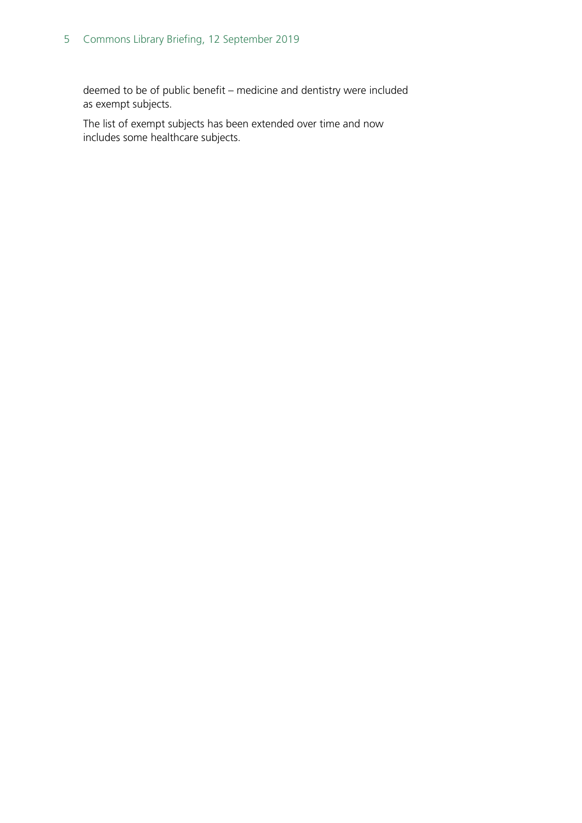### 5 Commons Library Briefing, 12 September 2019

deemed to be of public benefit – medicine and dentistry were included as exempt subjects.

The list of exempt subjects has been extended over time and now includes some healthcare subjects.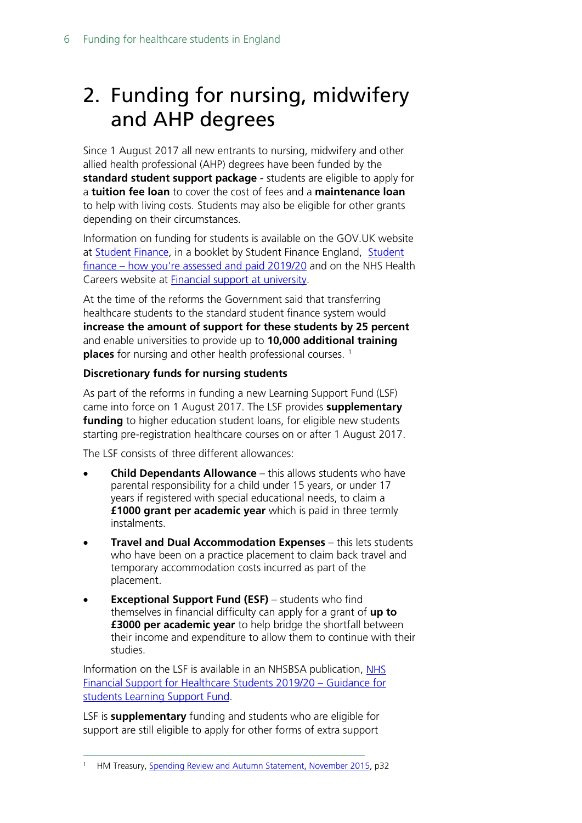# <span id="page-5-0"></span>2. Funding for nursing, midwifery and AHP degrees

Since 1 August 2017 all new entrants to nursing, midwifery and other allied health professional (AHP) degrees have been funded by the **standard student support package** - students are eligible to apply for a **tuition fee loan** to cover the cost of fees and a **maintenance loan** to help with living costs. Students may also be eligible for other grants depending on their circumstances.

Information on funding for students is available on the GOV.UK website at [Student Finance,](https://www.gov.uk/student-finance) in a booklet by Student Finance England, [Student](http://media.slc.co.uk/sfe/1920/ft/sfe_how_you_are_assessed_and_paid_guide_1920_o.pdf)  finance – [how you're assessed and paid 2019/20](http://media.slc.co.uk/sfe/1920/ft/sfe_how_you_are_assessed_and_paid_guide_1920_o.pdf) and on the NHS Health Careers website at [Financial support at university.](https://www.healthcareers.nhs.uk/career-planning/study-and-training/considering-or-university/financial-support-university)

At the time of the reforms the Government said that transferring healthcare students to the standard student finance system would **increase the amount of support for these students by 25 percent** and enable universities to provide up to **10,000 additional training places** for nursing and other health professional courses.<sup>1</sup>

### **Discretionary funds for nursing students**

As part of the reforms in funding a new Learning Support Fund (LSF) came into force on 1 August 2017. The LSF provides **supplementary funding** to higher education student loans, for eligible new students starting pre-registration healthcare courses on or after 1 August 2017.

The LSF consists of three different allowances:

- **Child Dependants Allowance** this allows students who have parental responsibility for a child under 15 years, or under 17 years if registered with special educational needs, to claim a **£1000 grant per academic year** which is paid in three termly instalments.
- **Travel and Dual Accommodation Expenses** this lets students who have been on a practice placement to claim back travel and temporary accommodation costs incurred as part of the placement.
- **Exceptional Support Fund (ESF)** students who find themselves in financial difficulty can apply for a grant of **up to £3000 per academic year** to help bridge the shortfall between their income and expenditure to allow them to continue with their studies.

Information on the LSF is available in an NHSBSA publication, NHS [Financial Support for Healthcare Students 2019/20 –](https://www.nhsbsa.nhs.uk/sites/default/files/2019-07/LSF%20Student%20guidance%20booklet%20%202019-20%20%28V1%29%2007%202019_0.pdf) Guidance for [students Learning Support Fund.](https://www.nhsbsa.nhs.uk/sites/default/files/2019-07/LSF%20Student%20guidance%20booklet%20%202019-20%20%28V1%29%2007%202019_0.pdf)

LSF is **supplementary** funding and students who are eligible for support are still eligible to apply for other forms of extra support

<span id="page-5-1"></span> <sup>1</sup> HM Treasury, [Spending Review and Autumn Statement, November 2015,](https://www.gov.uk/government/uploads/system/uploads/attachment_data/file/479749/52229_Blue_Book_PU1865_Web_Accessible.pdf) p32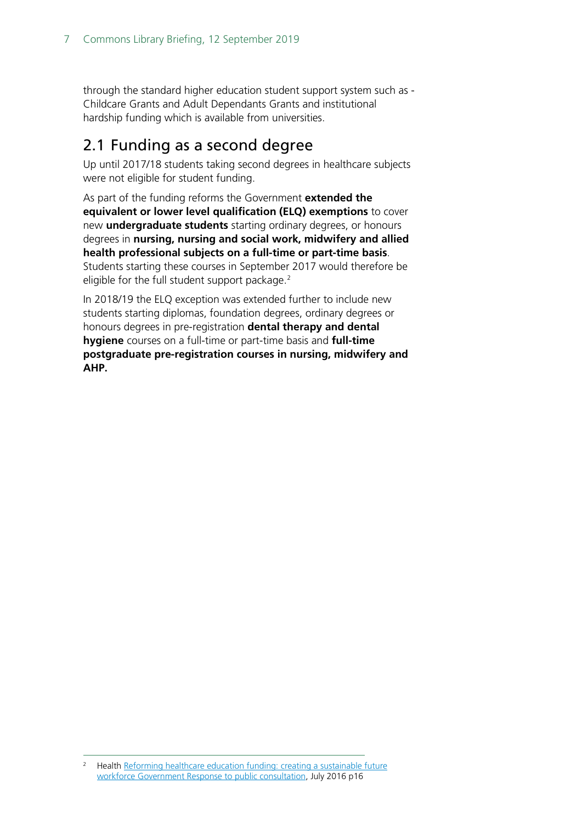through the standard higher education student support system such as - Childcare Grants and Adult Dependants Grants and institutional hardship funding which is available from universities.

## <span id="page-6-0"></span>2.1 Funding as a second degree

Up until 2017/18 students taking second degrees in healthcare subjects were not eligible for student funding.

As part of the funding reforms the Government **extended the equivalent or lower level qualification (ELQ) exemptions** to cover new **undergraduate students** starting ordinary degrees, or honours degrees in **nursing, nursing and social work, midwifery and allied health professional subjects on a full-time or part-time basis**. Students starting these courses in September 2017 would therefore be eligible for the full student support package.<sup>[2](#page-6-1)</sup>

In 2018/19 the ELQ exception was extended further to include new students starting diplomas, foundation degrees, ordinary degrees or honours degrees in pre-registration **dental therapy and dental hygiene** courses on a full-time or part-time basis and **full-time postgraduate pre-registration courses in nursing, midwifery and AHP.**

<span id="page-6-1"></span><sup>&</sup>lt;sup>2</sup> Health Reforming healthcare education funding: creating a sustainable future [workforce Government Response to public consultation,](https://www.gov.uk/government/uploads/system/uploads/attachment_data/file/539774/health-education-funding-response.pdf) July 2016 p16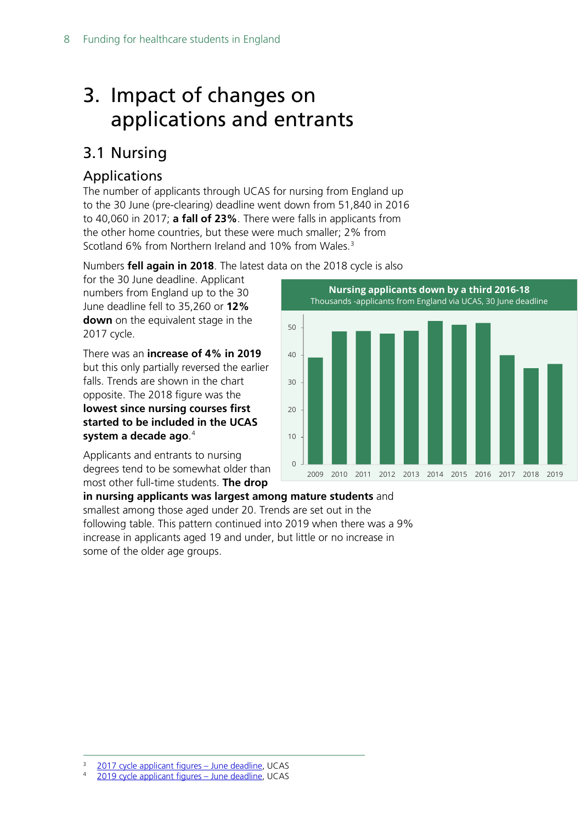# <span id="page-7-0"></span>3. Impact of changes on applications and entrants

## <span id="page-7-1"></span>3.1 Nursing

## <span id="page-7-2"></span>Applications

The number of applicants through UCAS for nursing from England up to the 30 June (pre-clearing) deadline went down from 51,840 in 2016 to 40,060 in 2017; **a fall of 23%**. There were falls in applicants from the other home countries, but these were much smaller; 2% from Scotland 6% from Northern Ireland and 10% from Wales.<sup>[3](#page-7-3)</sup>

Numbers **fell again in 2018**. The latest data on the 2018 cycle is also

for the 30 June deadline. Applicant numbers from England up to the 30 June deadline fell to 35,260 or **12% down** on the equivalent stage in the 2017 cycle.

There was an **increase of 4% in 2019** but this only partially reversed the earlier falls. Trends are shown in the chart opposite. The 2018 figure was the **lowest since nursing courses first started to be included in the UCAS system a decade ago**. [4](#page-7-4)

Applicants and entrants to nursing degrees tend to be somewhat older than most other full-time students. **The drop** 



**in nursing applicants was largest among mature students** and smallest among those aged under 20. Trends are set out in the following table. This pattern continued into 2019 when there was a 9% increase in applicants aged 19 and under, but little or no increase in some of the older age groups.

<span id="page-7-3"></span> <sup>3</sup> [2017 cycle applicant figures –](https://www.ucas.com/corporate/data-and-analysis/ucas-undergraduate-releases/2017-cycle-applicant-figures-june-deadline-0) June deadline, UCAS

<span id="page-7-4"></span><sup>4</sup> [2019 cycle applicant figures –](https://www.ucas.com/data-and-analysis/undergraduate-statistics-and-reports/ucas-undergraduate-releases/applicant-releases-2019-cycle/2019-cycle-applicant-figures-30-june-deadline) June deadline, UCAS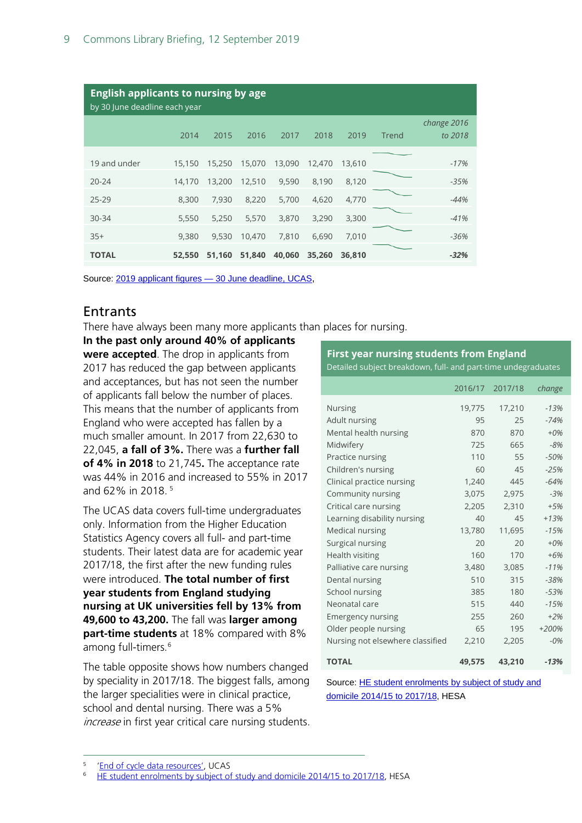| <b>English applicants to nursing by age</b><br>by 30 June deadline each year |        |        |        |        |        |        |       |                        |
|------------------------------------------------------------------------------|--------|--------|--------|--------|--------|--------|-------|------------------------|
|                                                                              | 2014   | 2015   | 2016   | 2017   | 2018   | 2019   | Trend | change 2016<br>to 2018 |
| 19 and under                                                                 | 15,150 | 15,250 | 15,070 | 13,090 | 12,470 | 13,610 |       | $-17%$                 |
| $20 - 24$                                                                    | 14,170 | 13,200 | 12,510 | 9,590  | 8,190  | 8,120  |       | $-35%$                 |
| $25 - 29$                                                                    | 8,300  | 7,930  | 8,220  | 5,700  | 4,620  | 4,770  |       | $-44%$                 |
| $30 - 34$                                                                    | 5,550  | 5,250  | 5,570  | 3,870  | 3,290  | 3,300  |       | $-41%$                 |
| $35+$                                                                        | 9,380  | 9,530  | 10,470 | 7,810  | 6,690  | 7,010  |       | $-36%$                 |
| <b>TOTAL</b>                                                                 | 52,550 | 51,160 | 51,840 | 40,060 | 35,260 | 36,810 |       | $-32%$                 |

Source: 2019 applicant figures — [30 June deadline, UCAS,](https://www.ucas.com/data-and-analysis/undergraduate-statistics-and-reports/ucas-undergraduate-releases/applicant-releases-2019-cycle/2019-cycle-applicant-figures-30-june-deadline)

### <span id="page-8-0"></span>**Entrants**

There have always been many more applicants than places for nursing.

**In the past only around 40% of applicants were accepted**. The drop in applicants from 2017 has reduced the gap between applicants and acceptances, but has not seen the number of applicants fall below the number of places. This means that the number of applicants from England who were accepted has fallen by a much smaller amount. In 2017 from 22,630 to 22,045, **a fall of 3%.** There was a **further fall of 4% in 2018** to 21,745**.** The acceptance rate was 44% in 2016 and increased to 55% in 2017 and 62% in 2018. [5](#page-8-1)

The UCAS data covers full-time undergraduates only. Information from the Higher Education Statistics Agency covers all full- and part-time students. Their latest data are for academic year 2017/18, the first after the new funding rules were introduced. **The total number of first year students from England studying nursing at UK universities fell by 13% from 49,600 to 43,200.** The fall was **larger among part-time students** at 18% compared with 8% among full-timers.<sup>[6](#page-8-2)</sup>

The table opposite shows how numbers changed by speciality in 2017/18. The biggest falls, among the larger specialities were in clinical practice, school and dental nursing. There was a 5% increase in first year critical care nursing students.

#### **First year nursing students from England**

Detailed subject breakdown, full- and part-time undegraduates

|                                  |        | 2016/17 2017/18 | change  |
|----------------------------------|--------|-----------------|---------|
| Nursing                          | 19,775 | 17,210          | $-13%$  |
| Adult nursing                    | 95     | 25              | $-74%$  |
|                                  |        |                 |         |
| Mental health nursing            | 870    | 870             | $+0\%$  |
| Midwifery                        | 725    | 665             | $-8%$   |
| Practice nursing                 | 110    | 55              | $-50%$  |
| Children's nursing               | 60     | 45              | $-25%$  |
| Clinical practice nursing        | 1,240  | 445             | $-64%$  |
| Community nursing                | 3,075  | 2,975           | $-3%$   |
| Critical care nursing            | 2,205  | 2,310           | $+5%$   |
| Learning disability nursing      | 40     | 45              | $+13%$  |
| <b>Medical nursing</b>           | 13,780 | 11,695          | $-15%$  |
| Surgical nursing                 | 20     | 20 <sup>2</sup> | $+0%$   |
| Health visiting                  | 160    | 170             | $+6%$   |
| Palliative care nursing          | 3,480  | 3,085           | $-11%$  |
| Dental nursing                   | 510    | 315             | $-38%$  |
| School nursing                   | 385    | 180             | $-53%$  |
| Neonatal care                    | 515    | 440             | $-15%$  |
| <b>Emergency nursing</b>         | 255    | 260             | $+2%$   |
| Older people nursing             | 65     | 195             | $+200%$ |
| Nursing not elsewhere classified | 2,210  | 2,205           | $-0%$   |
| <b>TOTAL</b>                     | 49,575 | 43,210          | $-13%$  |

Source[: HE student enrolments by subject of study and](https://www.hesa.ac.uk/data-and-analysis/students/table-22)  [domicile 2014/15 to 2017/18,](https://www.hesa.ac.uk/data-and-analysis/students/table-22) HESA

<span id="page-8-2"></span><span id="page-8-1"></span>[<sup>&#</sup>x27;End of cycle data resources'](https://www.ucas.com/data-and-analysis/ucas-undergraduate-releases/ucas-undergraduate-end-cycle-data-resources), UCAS

[HE student enrolments by subject of study and domicile 2014/15 to 2017/18,](https://www.hesa.ac.uk/data-and-analysis/students/table-22) HESA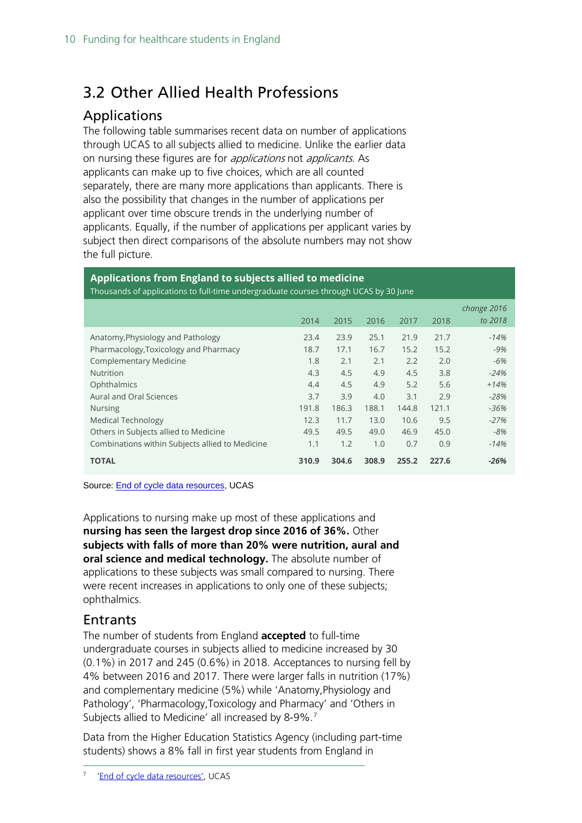## <span id="page-9-0"></span>3.2 Other Allied Health Professions

## <span id="page-9-1"></span>Applications

The following table summarises recent data on number of applications through UCAS to all subjects allied to medicine. Unlike the earlier data on nursing these figures are for *applications* not *applicants*. As applicants can make up to five choices, which are all counted separately, there are many more applications than applicants. There is also the possibility that changes in the number of applications per applicant over time obscure trends in the underlying number of applicants. Equally, if the number of applications per applicant varies by subject then direct comparisons of the absolute numbers may not show the full picture.

## **Applications from England to subjects allied to medicine**

Thousands of applications to full-time undergraduate courses through UCAS by 30 June

|                                                 |       |       |       |       |       | change 2016 |
|-------------------------------------------------|-------|-------|-------|-------|-------|-------------|
|                                                 | 2014  | 2015  | 2016  | 2017  | 2018  | to 2018     |
| Anatomy, Physiology and Pathology               | 23.4  | 23.9  | 25.1  | 21.9  | 21.7  | $-14%$      |
| Pharmacology, Toxicology and Pharmacy           | 18.7  | 17.1  | 16.7  | 15.2  | 15.2  | $-9%$       |
| <b>Complementary Medicine</b>                   | 1.8   | 2.1   | 2.1   | 2.2   | 2.0   | -6%         |
| Nutrition                                       | 4.3   | 4.5   | 4.9   | 4.5   | 3.8   | $-24%$      |
| Ophthalmics                                     | 4.4   | 4.5   | 4.9   | 5.2   | 5.6   | $+14%$      |
| Aural and Oral Sciences                         | 3.7   | 3.9   | 4.0   | 3.1   | 2.9   | $-28%$      |
| <b>Nursing</b>                                  | 191.8 | 186.3 | 188.1 | 144.8 | 121.1 | $-36%$      |
| Medical Technology                              | 12.3  | 11.7  | 13.0  | 10.6  | 9.5   | $-27%$      |
| Others in Subjects allied to Medicine           | 49.5  | 49.5  | 49.0  | 46.9  | 45.0  | -8%         |
| Combinations within Subjects allied to Medicine | 1.1   | 1.2   | 1.0   | 0.7   | 0.9   | $-14%$      |
| <b>TOTAL</b>                                    | 310.9 | 304.6 | 308.9 | 255.2 | 227.6 | $-26%$      |

Source: **End of cycle data resources**, UCAS

Applications to nursing make up most of these applications and **nursing has seen the largest drop since 2016 of 36%.** Other **subjects with falls of more than 20% were nutrition, aural and oral science and medical technology.** The absolute number of applications to these subjects was small compared to nursing. There were recent increases in applications to only one of these subjects; ophthalmics.

### <span id="page-9-2"></span>Entrants

The number of students from England **accepted** to full-time undergraduate courses in subjects allied to medicine increased by 30 (0.1%) in 2017 and 245 (0.6%) in 2018. Acceptances to nursing fell by 4% between 2016 and 2017. There were larger falls in nutrition (17%) and complementary medicine (5%) while 'Anatomy,Physiology and Pathology', 'Pharmacology,Toxicology and Pharmacy' and 'Others in Subjects allied to Medicine' all increased by 8-9%.<sup>[7](#page-9-3)</sup>

<span id="page-9-3"></span>Data from the Higher Education Statistics Agency (including part-time students) shows a 8% fall in first year students from England in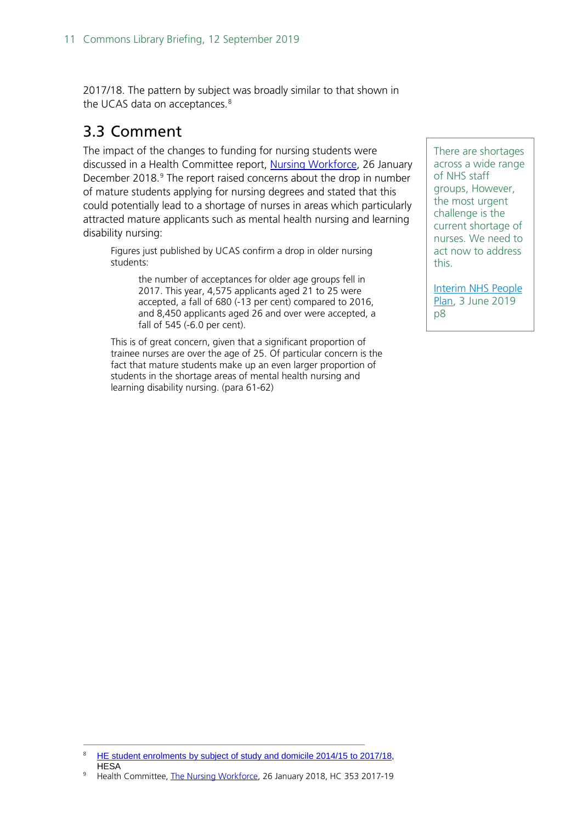2017/18. The pattern by subject was broadly similar to that shown in the UCAS data on acceptances.<sup>[8](#page-10-1)</sup>

## <span id="page-10-0"></span>3.3 Comment

The impact of the changes to funding for nursing students were discussed in a Health Committee report, [Nursing Workforce,](https://publications.parliament.uk/pa/cm201719/cmselect/cmhealth/353/35306.htm#_idTextAnchor021) 26 January December 2018. [9](#page-10-2) The report raised concerns about the drop in number of mature students applying for nursing degrees and stated that this could potentially lead to a shortage of nurses in areas which particularly attracted mature applicants such as mental health nursing and learning disability nursing:

Figures just published by UCAS confirm a drop in older nursing students:

> the number of acceptances for older age groups fell in 2017. This year, 4,575 applicants aged 21 to 25 were accepted, a fall of 680 (-13 per cent) compared to 2016, and 8,450 applicants aged 26 and over were accepted, a fall of 545 (-6.0 per cent).

This is of great concern, given that a significant proportion of trainee nurses are over the age of 25. Of particular concern is the fact that mature students make up an even larger proportion of students in the shortage areas of mental health nursing and learning disability nursing. (para 61-62)

There are shortages across a wide range of NHS staff groups, However, the most urgent challenge is the current shortage of nurses. We need to act now to address this.

[Interim NHS People](https://www.longtermplan.nhs.uk/wp-content/uploads/2019/05/Interim-NHS-People-Plan_June2019.pdf)  [Plan,](https://www.longtermplan.nhs.uk/wp-content/uploads/2019/05/Interim-NHS-People-Plan_June2019.pdf) 3 June 2019 p8

<span id="page-10-1"></span>[HE student enrolments by subject of study and domicile 2014/15 to 2017/18,](https://www.hesa.ac.uk/data-and-analysis/students/table-22) **HESA** 

<span id="page-10-2"></span><sup>&</sup>lt;sup>9</sup> Health Committee[, The Nursing Workforce,](https://publications.parliament.uk/pa/cm201719/cmselect/cmhealth/353/35306.htm#_idTextAnchor021) 26 January 2018, HC 353 2017-19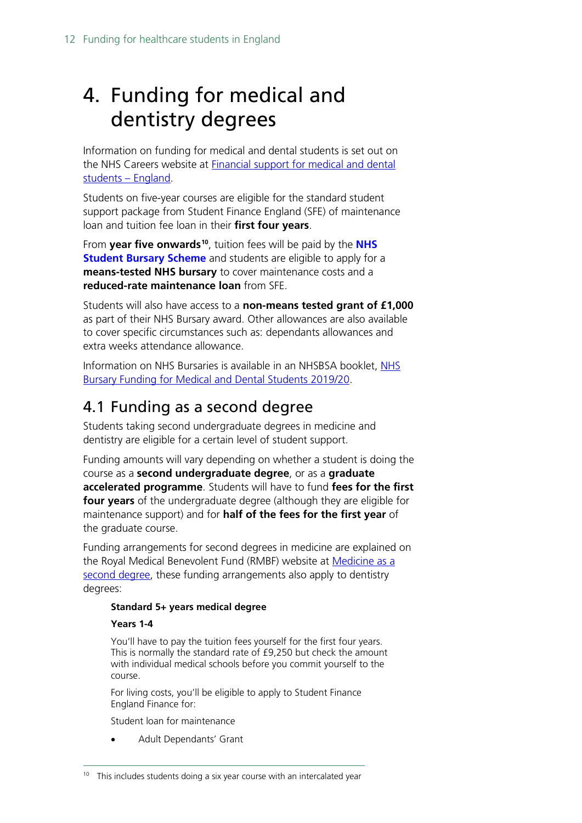# <span id="page-11-0"></span>4. Funding for medical and dentistry degrees

Information on funding for medical and dental students is set out on the NHS Careers website at **Financial support for medical and dental** [students –](https://www.healthcareers.nhs.uk/career-planning/study-and-training/considering-or-university/financial-support-university/financial-support-medical-and-dental-students-england) England.

Students on five-year courses are eligible for the standard student support package from Student Finance England (SFE) of maintenance loan and tuition fee loan in their **first four years**.

From **year five onwards[10](#page-11-2)**, tuition fees will be paid by the **[NHS](http://www.nhsbsa.nhs.uk/students)  [Student Bursary Scheme](http://www.nhsbsa.nhs.uk/students)** and students are eligible to apply for a **means-tested NHS bursary** to cover maintenance costs and a **reduced-rate maintenance loan** from SFE.

Students will also have access to a **non-means tested grant of £1,000** as part of their NHS Bursary award. Other allowances are also available to cover specific circumstances such as: dependants allowances and extra weeks attendance allowance.

Information on [NHS](https://www.nhsbsa.nhs.uk/sites/default/files/2019-07/NHS%20Bursary%20Funding%20for%20Medical%20and%20Dental%20Students%202019-20%20%28V1%29%2006%202019.pdf) Bursaries is available in an NHSBSA booklet, NHS [Bursary Funding for Medical and Dental Students 2019/20.](https://www.nhsbsa.nhs.uk/sites/default/files/2019-07/NHS%20Bursary%20Funding%20for%20Medical%20and%20Dental%20Students%202019-20%20%28V1%29%2006%202019.pdf)

## <span id="page-11-1"></span>4.1 Funding as a second degree

Students taking second undergraduate degrees in medicine and dentistry are eligible for a certain level of student support.

Funding amounts will vary depending on whether a student is doing the course as a **second undergraduate degree**, or as a **graduate accelerated programme**. Students will have to fund **fees for the first four years** of the undergraduate degree (although they are eligible for maintenance support) and for **half of the fees for the first year** of the graduate course.

Funding arrangements for second degrees in medicine are explained on the Royal Medical Benevolent Fund (RMBF) website at [Medicine as a](https://rmbf.org/medical-students/medicine-as-a-second-degree/)  [second degree,](https://rmbf.org/medical-students/medicine-as-a-second-degree/) these funding arrangements also apply to dentistry degrees:

### **Standard 5+ years medical degree**

#### **Years 1-4**

You'll have to pay the tuition fees yourself for the first four years. This is normally the standard rate of £9,250 but check the amount with individual medical schools before you commit yourself to the course.

For living costs, you'll be eligible to apply to Student Finance England Finance for:

Student loan for maintenance

• Adult Dependants' Grant

<span id="page-11-2"></span> $10$  This includes students doing a six year course with an intercalated year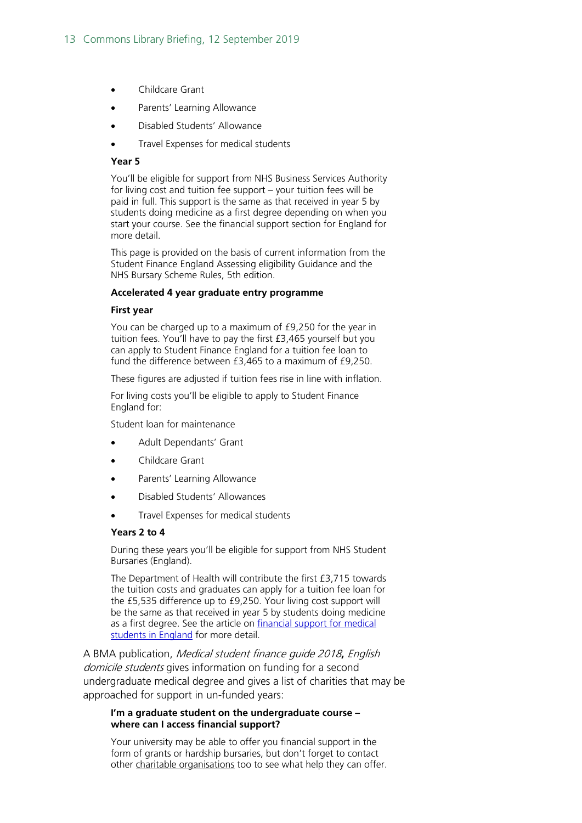- Childcare Grant
- Parents' Learning Allowance
- Disabled Students' Allowance
- Travel Expenses for medical students

#### **Year 5**

You'll be eligible for support from NHS Business Services Authority for living cost and tuition fee support – your tuition fees will be paid in full. This support is the same as that received in year 5 by students doing medicine as a first degree depending on when you start your course. See the financial support section for England for more detail.

This page is provided on the basis of current information from the Student Finance England Assessing eligibility Guidance and the NHS Bursary Scheme Rules, 5th edition.

#### **Accelerated 4 year graduate entry programme**

#### **First year**

You can be charged up to a maximum of £9,250 for the year in tuition fees. You'll have to pay the first £3,465 yourself but you can apply to Student Finance England for a tuition fee loan to fund the difference between £3,465 to a maximum of £9,250.

These figures are adjusted if tuition fees rise in line with inflation.

For living costs you'll be eligible to apply to Student Finance England for:

Student loan for maintenance

- Adult Dependants' Grant
- Childcare Grant
- Parents' Learning Allowance
- Disabled Students' Allowances
- Travel Expenses for medical students

#### **Years 2 to 4**

During these years you'll be eligible for support from NHS Student Bursaries (England).

The Department of Health will contribute the first £3,715 towards the tuition costs and graduates can apply for a tuition fee loan for the £5,535 difference up to £9,250. Your living cost support will be the same as that received in year 5 by students doing medicine as a first degree. See the article on financial support for medical [students in England](http://www.rmbf.org/medical-students/financial-support-for-medical-students-in-england/) for more detail.

A BMA publication, Medical student finance guide 2018**,** English domicile students gives information on funding for a second undergraduate medical degree and gives a list of charities that may be approached for support in un-funded years:

#### **I'm a graduate student on the undergraduate course – where can I access financial support?**

Your university may be able to offer you financial support in the form of grants or hardship bursaries, but don't forget to contact other charitable organisations too to see what help they can offer.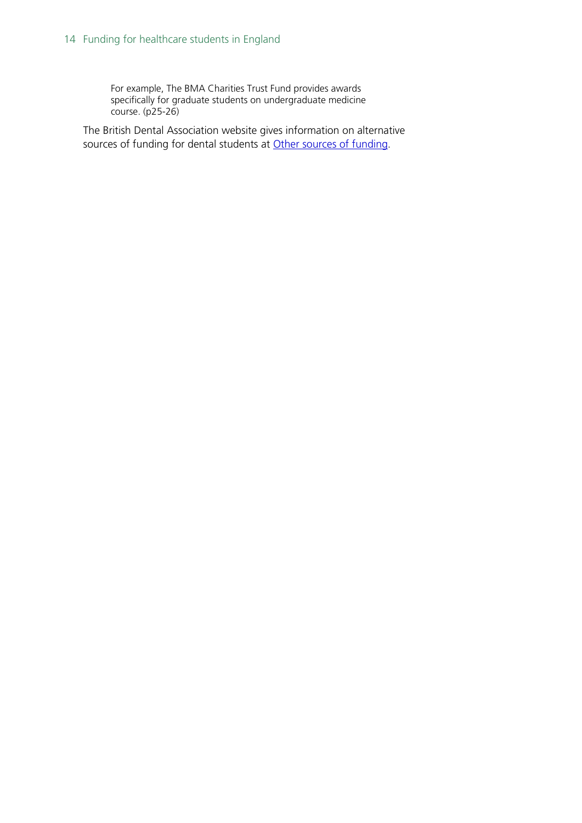For example, The BMA Charities Trust Fund provides awards specifically for graduate students on undergraduate medicine course. (p25-26)

The British Dental Association website gives information on alternative sources of funding for dental students at [Other sources of funding.](https://bda.org/students/student-finance/other-sources-of-funding)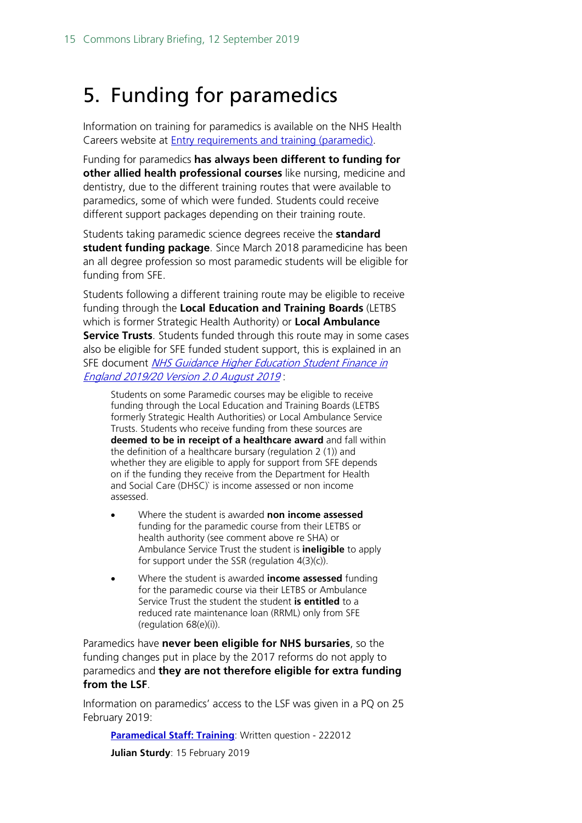# <span id="page-14-0"></span>5. Funding for paramedics

Information on training for paramedics is available on the NHS Health Careers website at [Entry requirements and training \(paramedic\).](https://www.healthcareers.nhs.uk/explore-roles/ambulance-service-team/roles-ambulance-service/paramedic/entry-requirements-and-training-paramedic)

Funding for paramedics **has always been different to funding for other allied health professional courses** like nursing, medicine and dentistry, due to the different training routes that were available to paramedics, some of which were funded. Students could receive different support packages depending on their training route.

Students taking paramedic science degrees receive the **standard student funding package**. Since March 2018 paramedicine has been an all degree profession so most paramedic students will be eligible for funding from SFE.

Students following a different training route may be eligible to receive funding through the **Local Education and Training Boards** (LETBS which is former Strategic Health Authority) or **Local Ambulance Service Trusts**. Students funded through this route may in some cases also be eligible for SFE funded student support, this is explained in an SFE document NHS Guidance Higher Education Student Finance in [England 2019/20 Version 2.0 August 2019](https://www.practitioners.slc.co.uk/media/1721/sfe-nhs-guidance.pdf) :

Students on some Paramedic courses may be eligible to receive funding through the Local Education and Training Boards (LETBS formerly Strategic Health Authorities) or Local Ambulance Service Trusts. Students who receive funding from these sources are **deemed to be in receipt of a healthcare award** and fall within the definition of a healthcare bursary (regulation 2 (1)) and whether they are eligible to apply for support from SFE depends on if the funding they receive from the Department for Health and Social Care (DHSC)` is income assessed or non income assessed.

- Where the student is awarded **non income assessed** funding for the paramedic course from their LETBS or health authority (see comment above re SHA) or Ambulance Service Trust the student is **ineligible** to apply for support under the SSR (regulation 4(3)(c)).
- Where the student is awarded **income assessed** funding for the paramedic course via their LETBS or Ambulance Service Trust the student the student **is entitled** to a reduced rate maintenance loan (RRML) only from SFE (regulation 68(e)(i)).

Paramedics have **never been eligible for NHS bursaries**, so the funding changes put in place by the 2017 reforms do not apply to paramedics and **they are not therefore eligible for extra funding from the LSF**.

Information on paramedics' access to the LSF was given in a PQ on 25 February 2019:

**[Paramedical Staff: Training](https://www.parliament.uk/written-questions-answers-statements/written-question/commons/2019-02-15/222012): Written question - 222012** 

**Julian Sturdy**: 15 February 2019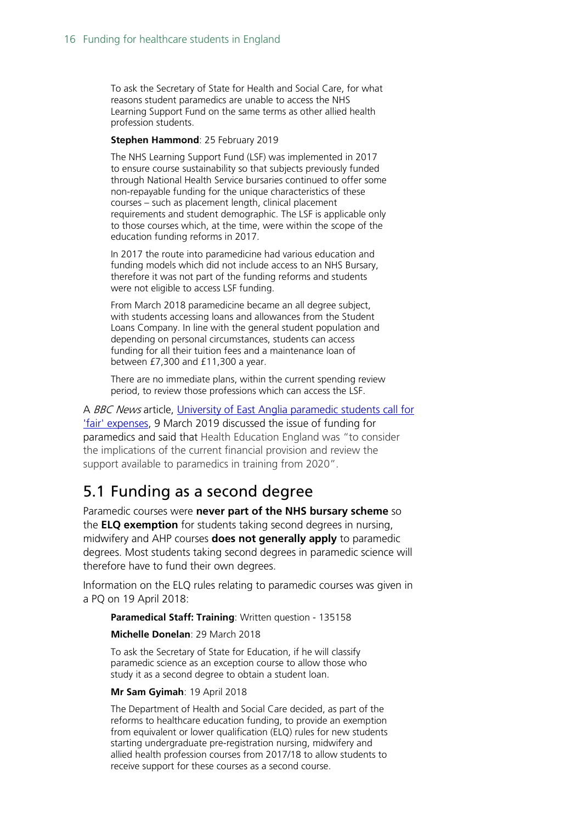To ask the Secretary of State for Health and Social Care, for what reasons student paramedics are unable to access the NHS Learning Support Fund on the same terms as other allied health profession students.

#### **Stephen Hammond**: 25 February 2019

The NHS Learning Support Fund (LSF) was implemented in 2017 to ensure course sustainability so that subjects previously funded through National Health Service bursaries continued to offer some non-repayable funding for the unique characteristics of these courses – such as placement length, clinical placement requirements and student demographic. The LSF is applicable only to those courses which, at the time, were within the scope of the education funding reforms in 2017.

In 2017 the route into paramedicine had various education and funding models which did not include access to an NHS Bursary, therefore it was not part of the funding reforms and students were not eligible to access LSF funding.

From March 2018 paramedicine became an all degree subject, with students accessing loans and allowances from the Student Loans Company. In line with the general student population and depending on personal circumstances, students can access funding for all their tuition fees and a maintenance loan of between £7,300 and £11,300 a year.

There are no immediate plans, within the current spending review period, to review those professions which can access the LSF.

A BBC News article, University of East Anglia paramedic students call for ['fair' expenses,](https://www.bbc.co.uk/news/uk-england-47484949) 9 March 2019 discussed the issue of funding for paramedics and said that Health Education England was "to consider the implications of the current financial provision and review the support available to paramedics in training from 2020".

## <span id="page-15-0"></span>5.1 Funding as a second degree

Paramedic courses were **never part of the NHS bursary scheme** so the **ELQ exemption** for students taking second degrees in nursing, midwifery and AHP courses **does not generally apply** to paramedic degrees. Most students taking second degrees in paramedic science will therefore have to fund their own degrees.

Information on the ELQ rules relating to paramedic courses was given in a PQ on 19 April 2018:

**Paramedical Staff: Training**: Written question - 135158

#### **Michelle Donelan**: 29 March 2018

To ask the Secretary of State for Education, if he will classify paramedic science as an exception course to allow those who study it as a second degree to obtain a student loan.

#### **Mr Sam Gyimah**: 19 April 2018

The Department of Health and Social Care decided, as part of the reforms to healthcare education funding, to provide an exemption from equivalent or lower qualification (ELQ) rules for new students starting undergraduate pre-registration nursing, midwifery and allied health profession courses from 2017/18 to allow students to receive support for these courses as a second course.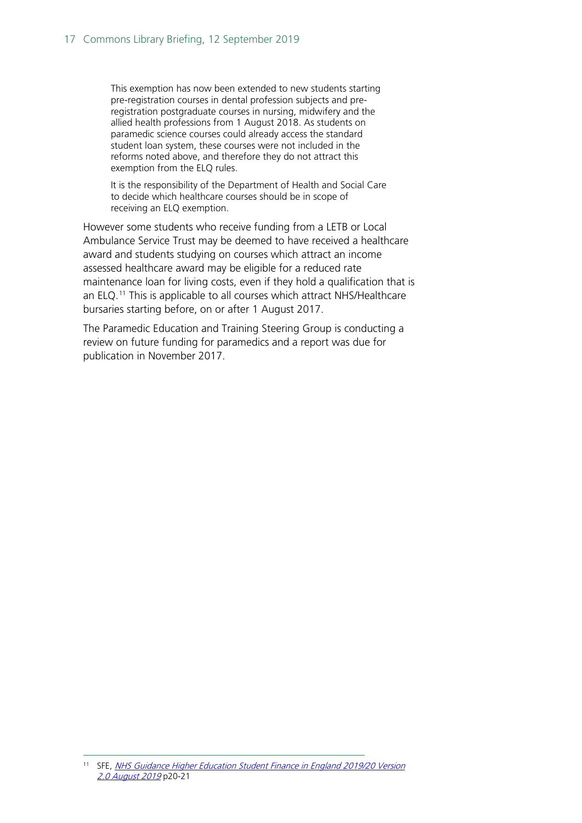This exemption has now been extended to new students starting pre-registration courses in dental profession subjects and preregistration postgraduate courses in nursing, midwifery and the allied health professions from 1 August 2018. As students on paramedic science courses could already access the standard student loan system, these courses were not included in the reforms noted above, and therefore they do not attract this exemption from the ELO rules.

It is the responsibility of the Department of Health and Social Care to decide which healthcare courses should be in scope of receiving an ELQ exemption.

However some students who receive funding from a LETB or Local Ambulance Service Trust may be deemed to have received a healthcare award and students studying on courses which attract an income assessed healthcare award may be eligible for a reduced rate maintenance loan for living costs, even if they hold a qualification that is an ELQ. [11](#page-16-0) This is applicable to all courses which attract NHS/Healthcare bursaries starting before, on or after 1 August 2017.

The Paramedic Education and Training Steering Group is conducting a review on future funding for paramedics and a report was due for publication in November 2017.

<span id="page-16-0"></span><sup>&</sup>lt;sup>11</sup> SFE, NHS Guidance Higher Education Student Finance in England 2019/20 Version [2.0 August 2019](https://www.practitioners.slc.co.uk/media/1721/sfe-nhs-guidance.pdf) p20-21